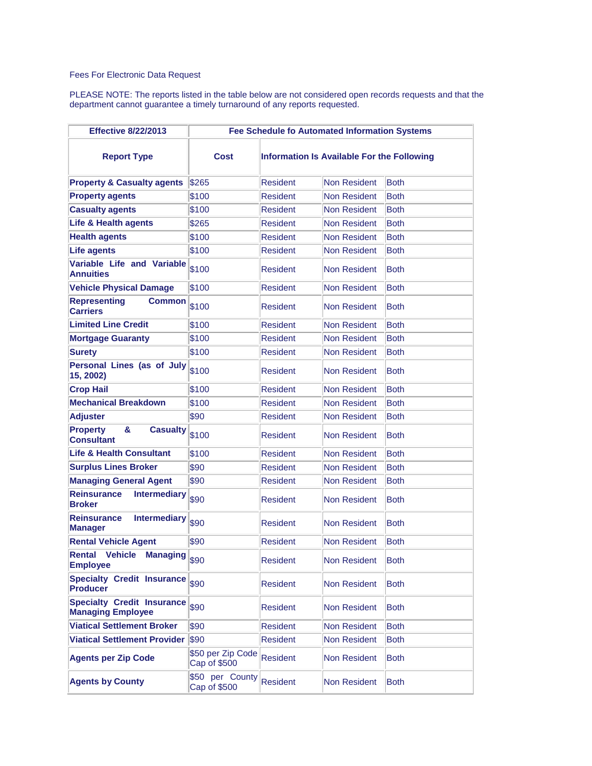## Fees For Electronic Data Request

PLEASE NOTE: The reports listed in the table below are not considered open records requests and that the department cannot guarantee a timely turnaround of any reports requested.

| <b>Effective 8/22/2013</b>                                    | <b>Fee Schedule fo Automated Information Systems</b> |                 |                                            |             |  |
|---------------------------------------------------------------|------------------------------------------------------|-----------------|--------------------------------------------|-------------|--|
| <b>Report Type</b>                                            | Cost                                                 |                 | Information Is Available For the Following |             |  |
| <b>Property &amp; Casualty agents</b>                         | \$265                                                | <b>Resident</b> | Non Resident                               | <b>Both</b> |  |
| <b>Property agents</b>                                        | \$100                                                | <b>Resident</b> | <b>Non Resident</b>                        | <b>Both</b> |  |
| <b>Casualty agents</b>                                        | \$100                                                | <b>Resident</b> | <b>Non Resident</b>                        | <b>Both</b> |  |
| Life & Health agents                                          | \$265                                                | <b>Resident</b> | <b>Non Resident</b>                        | <b>Both</b> |  |
| <b>Health agents</b>                                          | \$100                                                | <b>Resident</b> | <b>Non Resident</b>                        | <b>Both</b> |  |
| <b>Life agents</b>                                            | \$100                                                | <b>Resident</b> | <b>Non Resident</b>                        | <b>Both</b> |  |
| Variable Life and Variable<br><b>Annuities</b>                | \$100                                                | Resident        | Non Resident                               | <b>Both</b> |  |
| <b>Vehicle Physical Damage</b>                                | \$100                                                | <b>Resident</b> | <b>Non Resident</b>                        | <b>Both</b> |  |
| <b>Representing</b><br><b>Common</b><br><b>Carriers</b>       | \$100                                                | <b>Resident</b> | Non Resident                               | <b>Both</b> |  |
| <b>Limited Line Credit</b>                                    | \$100                                                | <b>Resident</b> | <b>Non Resident</b>                        | <b>Both</b> |  |
| <b>Mortgage Guaranty</b>                                      | \$100                                                | <b>Resident</b> | <b>Non Resident</b>                        | <b>Both</b> |  |
| <b>Surety</b>                                                 | \$100                                                | <b>Resident</b> | <b>Non Resident</b>                        | Both        |  |
| Personal Lines (as of July<br>15, 2002)                       | \$100                                                | Resident        | Non Resident                               | <b>Both</b> |  |
| <b>Crop Hail</b>                                              | \$100                                                | <b>Resident</b> | <b>Non Resident</b>                        | <b>Both</b> |  |
| <b>Mechanical Breakdown</b>                                   | \$100                                                | <b>Resident</b> | <b>Non Resident</b>                        | <b>Both</b> |  |
| <b>Adjuster</b>                                               | \$90                                                 | <b>Resident</b> | <b>Non Resident</b>                        | <b>Both</b> |  |
| &<br><b>Property</b><br><b>Casualty</b><br><b>Consultant</b>  | \$100                                                | <b>Resident</b> | Non Resident                               | <b>Both</b> |  |
| <b>Life &amp; Health Consultant</b>                           | \$100                                                | <b>Resident</b> | <b>Non Resident</b>                        | <b>Both</b> |  |
| <b>Surplus Lines Broker</b>                                   | \$90                                                 | <b>Resident</b> | <b>Non Resident</b>                        | <b>Both</b> |  |
| <b>Managing General Agent</b>                                 | \$90                                                 | <b>Resident</b> | <b>Non Resident</b>                        | <b>Both</b> |  |
| <b>Reinsurance</b><br><b>Intermediary</b><br><b>Broker</b>    | \$90                                                 | <b>Resident</b> | Non Resident                               | <b>Both</b> |  |
| <b>Reinsurance</b><br><b>Intermediary</b><br><b>Manager</b>   | \$90                                                 | <b>Resident</b> | Non Resident                               | <b>Both</b> |  |
| <b>Rental Vehicle Agent</b>                                   | \$90                                                 | <b>Resident</b> | <b>Non Resident</b>                        | <b>Both</b> |  |
| <b>Rental Vehicle</b><br><b>Managing</b><br><b>Employee</b>   | \$90                                                 | Resident        | Non Resident                               | Both        |  |
| <b>Specialty Credit Insurance</b><br><b>Producer</b>          | \$90                                                 | <b>Resident</b> | <b>Non Resident</b>                        | <b>Both</b> |  |
| <b>Specialty Credit Insurance</b><br><b>Managing Employee</b> | \$90                                                 | <b>Resident</b> | <b>Non Resident</b>                        | <b>Both</b> |  |
| <b>Viatical Settlement Broker</b>                             | \$90                                                 | <b>Resident</b> | <b>Non Resident</b>                        | <b>Both</b> |  |
| <b>Viatical Settlement Provider</b>                           | \$90                                                 | <b>Resident</b> | Non Resident                               | <b>Both</b> |  |
| <b>Agents per Zip Code</b>                                    | \$50 per Zip Code<br>Cap of \$500                    | <b>Resident</b> | <b>Non Resident</b>                        | Both        |  |
| <b>Agents by County</b>                                       | \$50 per County<br>Cap of \$500                      | <b>Resident</b> | <b>Non Resident</b>                        | Both        |  |